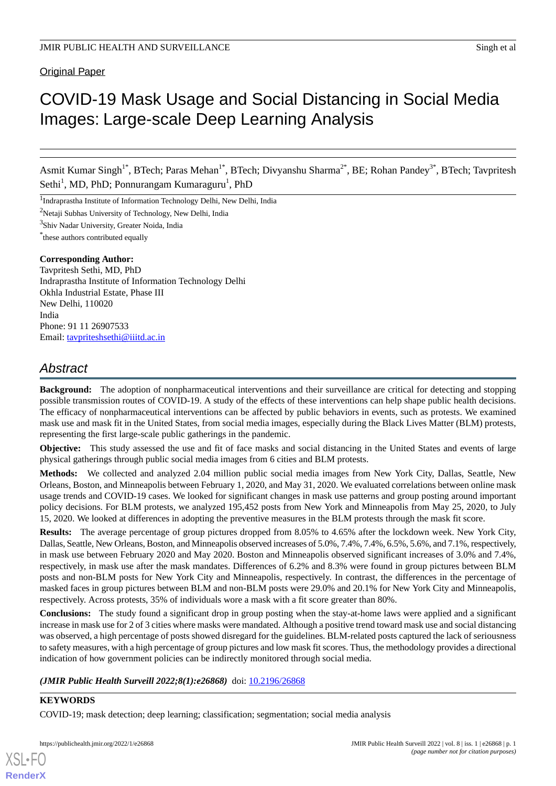## Original Paper

# COVID-19 Mask Usage and Social Distancing in Social Media Images: Large-scale Deep Learning Analysis

Asmit Kumar Singh<sup>1\*</sup>, BTech; Paras Mehan<sup>1\*</sup>, BTech; Divyanshu Sharma<sup>2\*</sup>, BE; Rohan Pandey<sup>3\*</sup>, BTech; Tavpritesh Sethi<sup>1</sup>, MD, PhD; Ponnurangam Kumaraguru<sup>1</sup>, PhD

<sup>1</sup>Indraprastha Institute of Information Technology Delhi, New Delhi, India

<sup>2</sup>Netaji Subhas University of Technology, New Delhi, India

<sup>3</sup>Shiv Nadar University, Greater Noida, India

\* these authors contributed equally

#### **Corresponding Author:**

Tavpritesh Sethi, MD, PhD Indraprastha Institute of Information Technology Delhi Okhla Industrial Estate, Phase III New Delhi, 110020 India Phone: 91 11 26907533 Email: [tavpriteshsethi@iiitd.ac.in](mailto:tavpriteshsethi@iiitd.ac.in)

# *Abstract*

**Background:** The adoption of nonpharmaceutical interventions and their surveillance are critical for detecting and stopping possible transmission routes of COVID-19. A study of the effects of these interventions can help shape public health decisions. The efficacy of nonpharmaceutical interventions can be affected by public behaviors in events, such as protests. We examined mask use and mask fit in the United States, from social media images, especially during the Black Lives Matter (BLM) protests, representing the first large-scale public gatherings in the pandemic.

**Objective:** This study assessed the use and fit of face masks and social distancing in the United States and events of large physical gatherings through public social media images from 6 cities and BLM protests.

**Methods:** We collected and analyzed 2.04 million public social media images from New York City, Dallas, Seattle, New Orleans, Boston, and Minneapolis between February 1, 2020, and May 31, 2020. We evaluated correlations between online mask usage trends and COVID-19 cases. We looked for significant changes in mask use patterns and group posting around important policy decisions. For BLM protests, we analyzed 195,452 posts from New York and Minneapolis from May 25, 2020, to July 15, 2020. We looked at differences in adopting the preventive measures in the BLM protests through the mask fit score.

**Results:** The average percentage of group pictures dropped from 8.05% to 4.65% after the lockdown week. New York City, Dallas, Seattle, New Orleans, Boston, and Minneapolis observed increases of 5.0%, 7.4%, 7.4%, 6.5%, 5.6%, and 7.1%, respectively, in mask use between February 2020 and May 2020. Boston and Minneapolis observed significant increases of 3.0% and 7.4%, respectively, in mask use after the mask mandates. Differences of 6.2% and 8.3% were found in group pictures between BLM posts and non-BLM posts for New York City and Minneapolis, respectively. In contrast, the differences in the percentage of masked faces in group pictures between BLM and non-BLM posts were 29.0% and 20.1% for New York City and Minneapolis, respectively. Across protests, 35% of individuals wore a mask with a fit score greater than 80%.

**Conclusions:** The study found a significant drop in group posting when the stay-at-home laws were applied and a significant increase in mask use for 2 of 3 cities where masks were mandated. Although a positive trend toward mask use and social distancing was observed, a high percentage of posts showed disregard for the guidelines. BLM-related posts captured the lack of seriousness to safety measures, with a high percentage of group pictures and low mask fit scores. Thus, the methodology provides a directional indication of how government policies can be indirectly monitored through social media.

*(JMIR Public Health Surveill 2022;8(1):e26868)* doi: [10.2196/26868](http://dx.doi.org/10.2196/26868)

#### **KEYWORDS**

[XSL](http://www.w3.org/Style/XSL)•FO **[RenderX](http://www.renderx.com/)**

COVID-19; mask detection; deep learning; classification; segmentation; social media analysis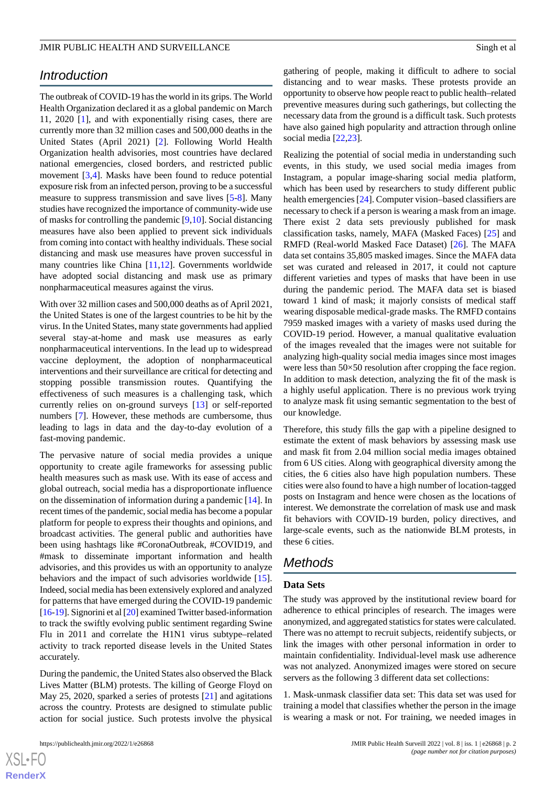# *Introduction*

The outbreak of COVID-19 has the world in its grips. The World Health Organization declared it as a global pandemic on March 11, 2020 [[1\]](#page-10-0), and with exponentially rising cases, there are currently more than 32 million cases and 500,000 deaths in the United States (April 2021) [[2\]](#page-10-1). Following World Health Organization health advisories, most countries have declared national emergencies, closed borders, and restricted public movement [\[3](#page-10-2),[4\]](#page-10-3). Masks have been found to reduce potential exposure risk from an infected person, proving to be a successful measure to suppress transmission and save lives [[5](#page-10-4)[-8](#page-11-0)]. Many studies have recognized the importance of community-wide use of masks for controlling the pandemic [\[9](#page-11-1),[10\]](#page-11-2). Social distancing measures have also been applied to prevent sick individuals from coming into contact with healthy individuals. These social distancing and mask use measures have proven successful in many countries like China [\[11](#page-11-3),[12\]](#page-11-4). Governments worldwide have adopted social distancing and mask use as primary nonpharmaceutical measures against the virus.

With over 32 million cases and 500,000 deaths as of April 2021, the United States is one of the largest countries to be hit by the virus. In the United States, many state governments had applied several stay-at-home and mask use measures as early nonpharmaceutical interventions. In the lead up to widespread vaccine deployment, the adoption of nonpharmaceutical interventions and their surveillance are critical for detecting and stopping possible transmission routes. Quantifying the effectiveness of such measures is a challenging task, which currently relies on on-ground surveys [\[13](#page-11-5)] or self-reported numbers [[7\]](#page-11-6). However, these methods are cumbersome, thus leading to lags in data and the day-to-day evolution of a fast-moving pandemic.

The pervasive nature of social media provides a unique opportunity to create agile frameworks for assessing public health measures such as mask use. With its ease of access and global outreach, social media has a disproportionate influence on the dissemination of information during a pandemic [\[14](#page-11-7)]. In recent times of the pandemic, social media has become a popular platform for people to express their thoughts and opinions, and broadcast activities. The general public and authorities have been using hashtags like #CoronaOutbreak, #COVID19, and #mask to disseminate important information and health advisories, and this provides us with an opportunity to analyze behaviors and the impact of such advisories worldwide [[15\]](#page-11-8). Indeed, social media has been extensively explored and analyzed for patterns that have emerged during the COVID-19 pandemic [[16-](#page-11-9)[19\]](#page-11-10). Signorini et al [\[20](#page-11-11)] examined Twitter based-information to track the swiftly evolving public sentiment regarding Swine Flu in 2011 and correlate the H1N1 virus subtype–related activity to track reported disease levels in the United States accurately.

During the pandemic, the United States also observed the Black Lives Matter (BLM) protests. The killing of George Floyd on May 25, 2020, sparked a series of protests [\[21](#page-11-12)] and agitations across the country. Protests are designed to stimulate public action for social justice. Such protests involve the physical

gathering of people, making it difficult to adhere to social distancing and to wear masks. These protests provide an opportunity to observe how people react to public health–related preventive measures during such gatherings, but collecting the necessary data from the ground is a difficult task. Such protests have also gained high popularity and attraction through online social media [[22,](#page-11-13)[23](#page-11-14)].

Realizing the potential of social media in understanding such events, in this study, we used social media images from Instagram, a popular image-sharing social media platform, which has been used by researchers to study different public health emergencies [\[24](#page-11-15)]. Computer vision–based classifiers are necessary to check if a person is wearing a mask from an image. There exist 2 data sets previously published for mask classification tasks, namely, MAFA (Masked Faces) [[25\]](#page-11-16) and RMFD (Real-world Masked Face Dataset) [[26\]](#page-11-17). The MAFA data set contains 35,805 masked images. Since the MAFA data set was curated and released in 2017, it could not capture different varieties and types of masks that have been in use during the pandemic period. The MAFA data set is biased toward 1 kind of mask; it majorly consists of medical staff wearing disposable medical-grade masks. The RMFD contains 7959 masked images with a variety of masks used during the COVID-19 period. However, a manual qualitative evaluation of the images revealed that the images were not suitable for analyzing high-quality social media images since most images were less than 50×50 resolution after cropping the face region. In addition to mask detection, analyzing the fit of the mask is a highly useful application. There is no previous work trying to analyze mask fit using semantic segmentation to the best of our knowledge.

Therefore, this study fills the gap with a pipeline designed to estimate the extent of mask behaviors by assessing mask use and mask fit from 2.04 million social media images obtained from 6 US cities. Along with geographical diversity among the cities, the 6 cities also have high population numbers. These cities were also found to have a high number of location-tagged posts on Instagram and hence were chosen as the locations of interest. We demonstrate the correlation of mask use and mask fit behaviors with COVID-19 burden, policy directives, and large-scale events, such as the nationwide BLM protests, in these 6 cities.

# *Methods*

#### **Data Sets**

The study was approved by the institutional review board for adherence to ethical principles of research. The images were anonymized, and aggregated statistics for states were calculated. There was no attempt to recruit subjects, reidentify subjects, or link the images with other personal information in order to maintain confidentiality. Individual-level mask use adherence was not analyzed. Anonymized images were stored on secure servers as the following 3 different data set collections:

1. Mask-unmask classifier data set: This data set was used for training a model that classifies whether the person in the image is wearing a mask or not. For training, we needed images in

 $XS$  $\cdot$ FC **[RenderX](http://www.renderx.com/)**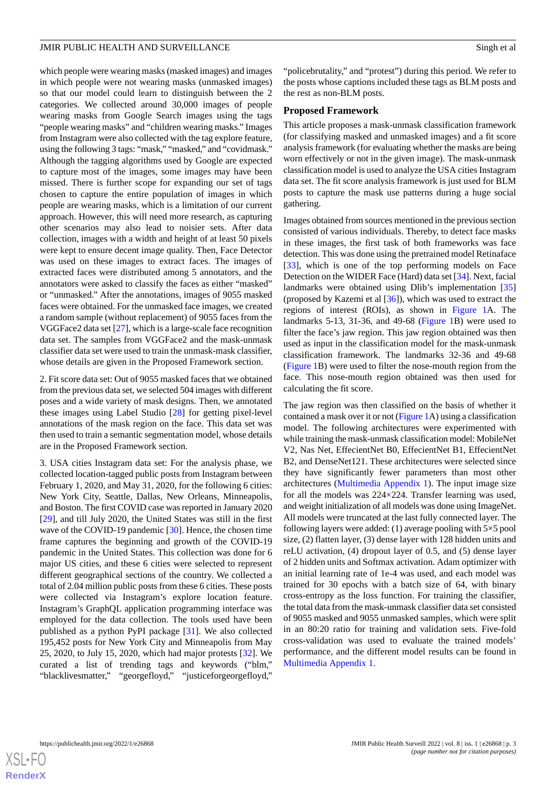which people were wearing masks (masked images) and images in which people were not wearing masks (unmasked images) so that our model could learn to distinguish between the 2 categories. We collected around 30,000 images of people wearing masks from Google Search images using the tags "people wearing masks" and "children wearing masks." Images from Instagram were also collected with the tag explore feature, using the following 3 tags: "mask," "masked," and "covidmask." Although the tagging algorithms used by Google are expected to capture most of the images, some images may have been missed. There is further scope for expanding our set of tags chosen to capture the entire population of images in which people are wearing masks, which is a limitation of our current approach. However, this will need more research, as capturing other scenarios may also lead to noisier sets. After data collection, images with a width and height of at least 50 pixels were kept to ensure decent image quality. Then, Face Detector was used on these images to extract faces. The images of extracted faces were distributed among 5 annotators, and the annotators were asked to classify the faces as either "masked" or "unmasked." After the annotations, images of 9055 masked faces were obtained. For the unmasked face images, we created a random sample (without replacement) of 9055 faces from the VGGFace2 data set [\[27](#page-11-18)], which is a large-scale face recognition data set. The samples from VGGFace2 and the mask-unmask classifier data set were used to train the unmask-mask classifier, whose details are given in the Proposed Framework section.

2. Fit score data set: Out of 9055 masked faces that we obtained from the previous data set, we selected 504 images with different poses and a wide variety of mask designs. Then, we annotated these images using Label Studio [[28\]](#page-11-19) for getting pixel-level annotations of the mask region on the face. This data set was then used to train a semantic segmentation model, whose details are in the Proposed Framework section.

3. USA cities Instagram data set: For the analysis phase, we collected location-tagged public posts from Instagram between February 1, 2020, and May 31, 2020, for the following 6 cities: New York City, Seattle, Dallas, New Orleans, Minneapolis, and Boston. The first COVID case was reported in January 2020 [[29\]](#page-12-0), and till July 2020, the United States was still in the first wave of the COVID-19 pandemic [\[30](#page-12-1)]. Hence, the chosen time frame captures the beginning and growth of the COVID-19 pandemic in the United States. This collection was done for 6 major US cities, and these 6 cities were selected to represent different geographical sections of the country. We collected a total of 2.04 million public posts from these 6 cities. These posts were collected via Instagram's explore location feature. Instagram's GraphQL application programming interface was employed for the data collection. The tools used have been published as a python PyPI package [[31\]](#page-12-2). We also collected 195,452 posts for New York City and Minneapolis from May 25, 2020, to July 15, 2020, which had major protests [\[32](#page-12-3)]. We curated a list of trending tags and keywords ("blm," "blacklivesmatter," "georgefloyd," "justiceforgeorgefloyd,"

"policebrutality," and "protest") during this period. We refer to the posts whose captions included these tags as BLM posts and the rest as non-BLM posts.

#### **Proposed Framework**

This article proposes a mask-unmask classification framework (for classifying masked and unmasked images) and a fit score analysis framework (for evaluating whether the masks are being worn effectively or not in the given image). The mask-unmask classification model is used to analyze the USA cities Instagram data set. The fit score analysis framework is just used for BLM posts to capture the mask use patterns during a huge social gathering.

Images obtained from sources mentioned in the previous section consisted of various individuals. Thereby, to detect face masks in these images, the first task of both frameworks was face detection. This was done using the pretrained model Retinaface [[33\]](#page-12-4), which is one of the top performing models on Face Detection on the WIDER Face (Hard) data set [\[34](#page-12-5)]. Next, facial landmarks were obtained using Dlib's implementation [\[35](#page-12-6)] (proposed by Kazemi et al  $[36]$  $[36]$ ), which was used to extract the regions of interest (ROIs), as shown in [Figure 1A](#page-3-0). The landmarks 5-13, 31-36, and 49-68 [\(Figure 1](#page-3-0)B) were used to filter the face's jaw region. This jaw region obtained was then used as input in the classification model for the mask-unmask classification framework. The landmarks 32-36 and 49-68 ([Figure 1](#page-3-0)B) were used to filter the nose-mouth region from the face. This nose-mouth region obtained was then used for calculating the fit score.

The jaw region was then classified on the basis of whether it contained a mask over it or not [\(Figure 1A](#page-3-0)) using a classification model. The following architectures were experimented with while training the mask-unmask classification model: MobileNet V2, Nas Net, EffecientNet B0, EffecientNet B1, EffecientNet B2, and DenseNet121. These architectures were selected since they have significantly fewer parameters than most other architectures [\(Multimedia Appendix 1](#page-9-0)). The input image size for all the models was 224×224. Transfer learning was used, and weight initialization of all models was done using ImageNet. All models were truncated at the last fully connected layer. The following layers were added: (1) average pooling with  $5\times 5$  pool size, (2) flatten layer, (3) dense layer with 128 hidden units and reLU activation, (4) dropout layer of 0.5, and (5) dense layer of 2 hidden units and Softmax activation. Adam optimizer with an initial learning rate of 1e-4 was used, and each model was trained for 30 epochs with a batch size of 64, with binary cross-entropy as the loss function. For training the classifier, the total data from the mask-unmask classifier data set consisted of 9055 masked and 9055 unmasked samples, which were split in an 80:20 ratio for training and validation sets. Five-fold cross-validation was used to evaluate the trained models' performance, and the different model results can be found in [Multimedia Appendix 1.](#page-9-0)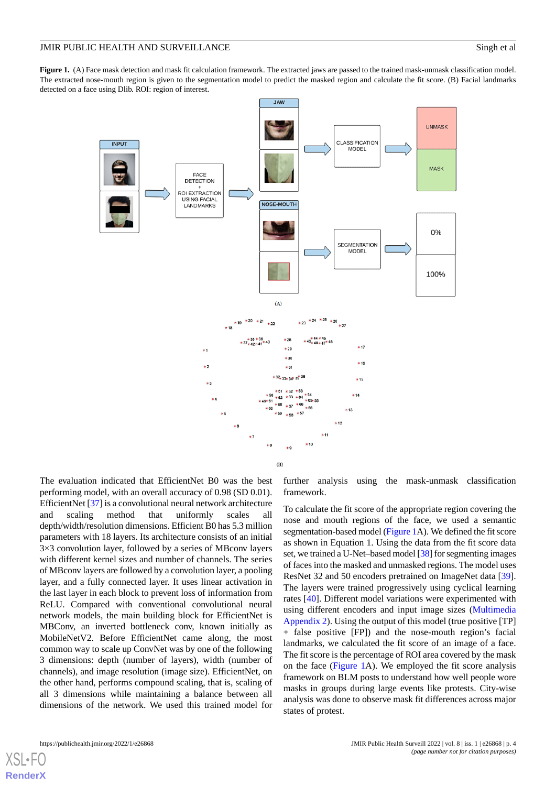<span id="page-3-0"></span>Figure 1. (A) Face mask detection and mask fit calculation framework. The extracted jaws are passed to the trained mask-unmask classification model. The extracted nose-mouth region is given to the segmentation model to predict the masked region and calculate the fit score. (B) Facial landmarks detected on a face using Dlib. ROI: region of interest.



The evaluation indicated that EfficientNet B0 was the best performing model, with an overall accuracy of 0.98 (SD 0.01). EfficientNet [[37\]](#page-12-8) is a convolutional neural network architecture and scaling method that uniformly scales all depth/width/resolution dimensions. Efficient B0 has 5.3 million parameters with 18 layers. Its architecture consists of an initial 3×3 convolution layer, followed by a series of MBconv layers with different kernel sizes and number of channels. The series of MBconv layers are followed by a convolution layer, a pooling layer, and a fully connected layer. It uses linear activation in the last layer in each block to prevent loss of information from ReLU. Compared with conventional convolutional neural network models, the main building block for EfficientNet is MBConv, an inverted bottleneck conv, known initially as MobileNetV2. Before EfficientNet came along, the most common way to scale up ConvNet was by one of the following 3 dimensions: depth (number of layers), width (number of channels), and image resolution (image size). EfficientNet, on the other hand, performs compound scaling, that is, scaling of all 3 dimensions while maintaining a balance between all dimensions of the network. We used this trained model for

further analysis using the mask-unmask classification framework.

To calculate the fit score of the appropriate region covering the nose and mouth regions of the face, we used a semantic segmentation-based model ([Figure 1](#page-3-0)A). We defined the fit score as shown in Equation 1. Using the data from the fit score data set, we trained a U-Net–based model [\[38\]](#page-12-9) for segmenting images of faces into the masked and unmasked regions. The model uses ResNet 32 and 50 encoders pretrained on ImageNet data [[39\]](#page-12-10). The layers were trained progressively using cyclical learning rates [[40\]](#page-12-11). Different model variations were experimented with using different encoders and input image sizes [\(Multimedia](#page-9-1) [Appendix 2](#page-9-1)). Using the output of this model (true positive [TP] + false positive [FP]) and the nose-mouth region's facial landmarks, we calculated the fit score of an image of a face. The fit score is the percentage of ROI area covered by the mask on the face ([Figure 1](#page-3-0)A). We employed the fit score analysis framework on BLM posts to understand how well people wore masks in groups during large events like protests. City-wise analysis was done to observe mask fit differences across major states of protest.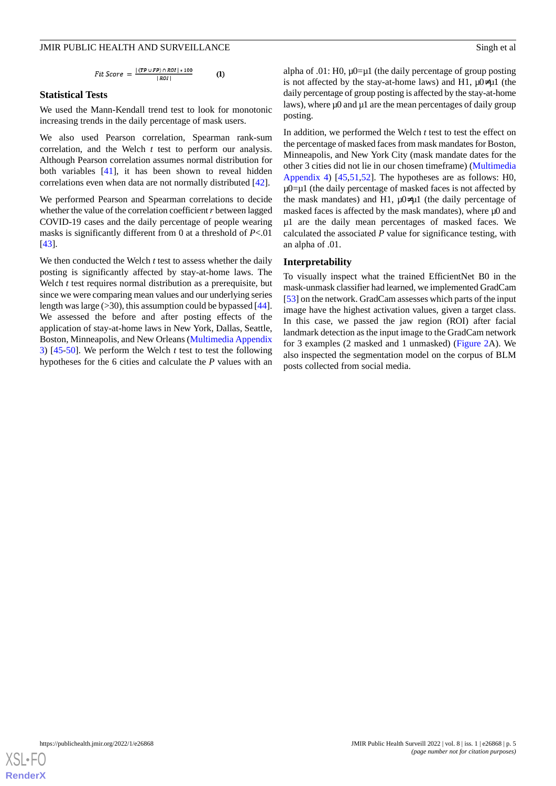$$
Fit\ Score = \frac{|(TP \cup FP) \cap ROI| * 100}{|ROI|} \tag{1}
$$

#### **Statistical Tests**

We used the Mann-Kendall trend test to look for monotonic increasing trends in the daily percentage of mask users.

We also used Pearson correlation, Spearman rank-sum correlation, and the Welch *t* test to perform our analysis. Although Pearson correlation assumes normal distribution for both variables [\[41](#page-12-12)], it has been shown to reveal hidden correlations even when data are not normally distributed [[42\]](#page-12-13).

We performed Pearson and Spearman correlations to decide whether the value of the correlation coefficient *r* between lagged COVID-19 cases and the daily percentage of people wearing masks is significantly different from 0 at a threshold of *P*<.01 [[43\]](#page-12-14).

We then conducted the Welch *t* test to assess whether the daily posting is significantly affected by stay-at-home laws. The Welch *t* test requires normal distribution as a prerequisite, but since we were comparing mean values and our underlying series length was large  $(>30)$ , this assumption could be bypassed [[44\]](#page-12-15). We assessed the before and after posting effects of the application of stay-at-home laws in New York, Dallas, Seattle, Boston, Minneapolis, and New Orleans ([Multimedia Appendix](#page-9-2) [3\)](#page-9-2) [[45-](#page-12-16)[50\]](#page-12-17). We perform the Welch *t* test to test the following hypotheses for the 6 cities and calculate the *P* values with an

alpha of .01: H0,  $\mu$ 0= $\mu$ 1 (the daily percentage of group posting is not affected by the stay-at-home laws) and H1,  $\mu$ 0≠ $\mu$ 1 (the daily percentage of group posting is affected by the stay-at-home laws), where μ0 and μ1 are the mean percentages of daily group posting.

In addition, we performed the Welch *t* test to test the effect on the percentage of masked faces from mask mandates for Boston, Minneapolis, and New York City (mask mandate dates for the other 3 cities did not lie in our chosen timeframe) [\(Multimedia](#page-9-3) [Appendix 4\)](#page-9-3) [\[45](#page-12-16),[51,](#page-12-18)[52](#page-12-19)]. The hypotheses are as follows: H0,  $\mu$ 0= $\mu$ 1 (the daily percentage of masked faces is not affected by the mask mandates) and H1,  $\mu$ 0≠ $\mu$ 1 (the daily percentage of masked faces is affected by the mask mandates), where μ0 and μ1 are the daily mean percentages of masked faces. We calculated the associated *P* value for significance testing, with an alpha of .01.

#### **Interpretability**

To visually inspect what the trained EfficientNet B0 in the mask-unmask classifier had learned, we implemented GradCam [[53\]](#page-12-20) on the network. GradCam assesses which parts of the input image have the highest activation values, given a target class. In this case, we passed the jaw region (ROI) after facial landmark detection as the input image to the GradCam network for 3 examples (2 masked and 1 unmasked) [\(Figure 2](#page-5-0)A). We also inspected the segmentation model on the corpus of BLM posts collected from social media.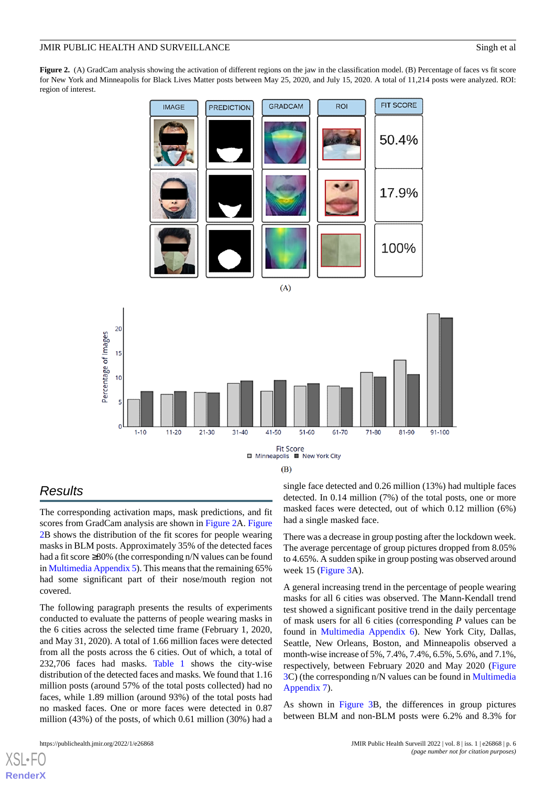<span id="page-5-0"></span>**Figure 2.** (A) GradCam analysis showing the activation of different regions on the jaw in the classification model. (B) Percentage of faces vs fit score for New York and Minneapolis for Black Lives Matter posts between May 25, 2020, and July 15, 2020. A total of 11,214 posts were analyzed. ROI: region of interest.





# *Results*

The corresponding activation maps, mask predictions, and fit scores from GradCam analysis are shown in [Figure 2A](#page-5-0). [Figure](#page-5-0) [2B](#page-5-0) shows the distribution of the fit scores for people wearing masks in BLM posts. Approximately 35% of the detected faces had a fit score ≥80% (the corresponding n/N values can be found in [Multimedia Appendix 5](#page-10-5)). This means that the remaining 65% had some significant part of their nose/mouth region not covered.

The following paragraph presents the results of experiments conducted to evaluate the patterns of people wearing masks in the 6 cities across the selected time frame (February 1, 2020, and May 31, 2020). A total of 1.66 million faces were detected from all the posts across the 6 cities. Out of which, a total of 232,706 faces had masks. [Table 1](#page-6-0) shows the city-wise distribution of the detected faces and masks. We found that 1.16 million posts (around 57% of the total posts collected) had no faces, while 1.89 million (around 93%) of the total posts had no masked faces. One or more faces were detected in 0.87 million (43%) of the posts, of which 0.61 million (30%) had a

[XSL](http://www.w3.org/Style/XSL)•FO **[RenderX](http://www.renderx.com/)**

single face detected and 0.26 million (13%) had multiple faces detected. In 0.14 million (7%) of the total posts, one or more masked faces were detected, out of which 0.12 million (6%) had a single masked face.

There was a decrease in group posting after the lockdown week. The average percentage of group pictures dropped from 8.05% to 4.65%. A sudden spike in group posting was observed around week 15 [\(Figure 3A](#page-7-0)).

A general increasing trend in the percentage of people wearing masks for all 6 cities was observed. The Mann-Kendall trend test showed a significant positive trend in the daily percentage of mask users for all 6 cities (corresponding *P* values can be found in [Multimedia Appendix 6\)](#page-10-6). New York City, Dallas, Seattle, New Orleans, Boston, and Minneapolis observed a month-wise increase of 5%, 7.4%, 7.4%, 6.5%, 5.6%, and 7.1%, respectively, between February 2020 and May 2020 ([Figure](#page-7-0) [3C](#page-7-0)) (the corresponding n/N values can be found in [Multimedia](#page-10-7) [Appendix 7\)](#page-10-7).

As shown in [Figure 3B](#page-7-0), the differences in group pictures between BLM and non-BLM posts were 6.2% and 8.3% for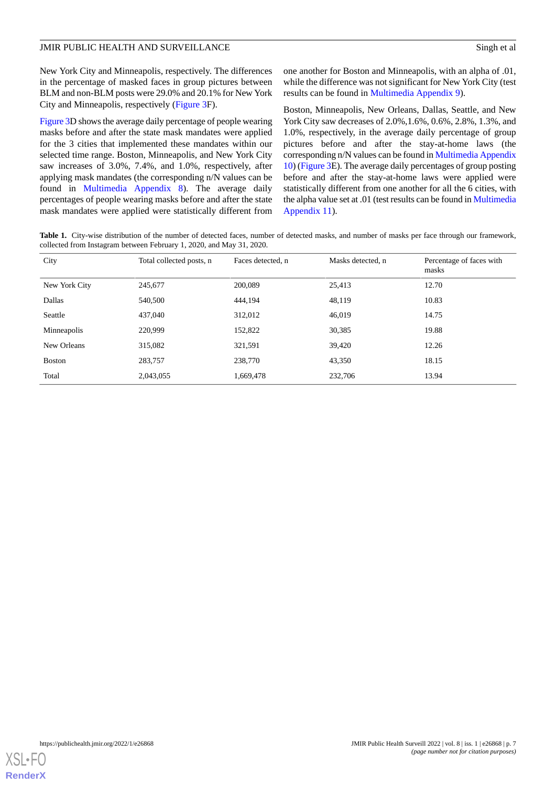New York City and Minneapolis, respectively. The differences in the percentage of masked faces in group pictures between BLM and non-BLM posts were 29.0% and 20.1% for New York City and Minneapolis, respectively ([Figure 3F](#page-7-0)).

[Figure 3D](#page-7-0) shows the average daily percentage of people wearing masks before and after the state mask mandates were applied for the 3 cities that implemented these mandates within our selected time range. Boston, Minneapolis, and New York City saw increases of 3.0%, 7.4%, and 1.0%, respectively, after applying mask mandates (the corresponding n/N values can be found in [Multimedia Appendix 8](#page-10-8)). The average daily percentages of people wearing masks before and after the state mask mandates were applied were statistically different from

one another for Boston and Minneapolis, with an alpha of .01, while the difference was not significant for New York City (test results can be found in [Multimedia Appendix 9\)](#page-10-9).

Boston, Minneapolis, New Orleans, Dallas, Seattle, and New York City saw decreases of 2.0%,1.6%, 0.6%, 2.8%, 1.3%, and 1.0%, respectively, in the average daily percentage of group pictures before and after the stay-at-home laws (the corresponding n/N values can be found in [Multimedia Appendix](#page-10-10) [10\)](#page-10-10) [\(Figure 3E](#page-7-0)). The average daily percentages of group posting before and after the stay-at-home laws were applied were statistically different from one another for all the 6 cities, with the alpha value set at .01 (test results can be found in [Multimedia](#page-10-11) [Appendix 11\)](#page-10-11).

<span id="page-6-0"></span>Table 1. City-wise distribution of the number of detected faces, number of detected masks, and number of masks per face through our framework, collected from Instagram between February 1, 2020, and May 31, 2020.

| City          | Total collected posts, n | Faces detected, n | Masks detected, n | Percentage of faces with<br>masks |
|---------------|--------------------------|-------------------|-------------------|-----------------------------------|
| New York City | 245,677                  | 200,089           | 25,413            | 12.70                             |
| Dallas        | 540,500                  | 444,194           | 48,119            | 10.83                             |
| Seattle       | 437,040                  | 312,012           | 46,019            | 14.75                             |
| Minneapolis   | 220,999                  | 152,822           | 30,385            | 19.88                             |
| New Orleans   | 315,082                  | 321,591           | 39.420            | 12.26                             |
| <b>Boston</b> | 283,757                  | 238,770           | 43,350            | 18.15                             |
| Total         | 2,043,055                | 1,669,478         | 232,706           | 13.94                             |

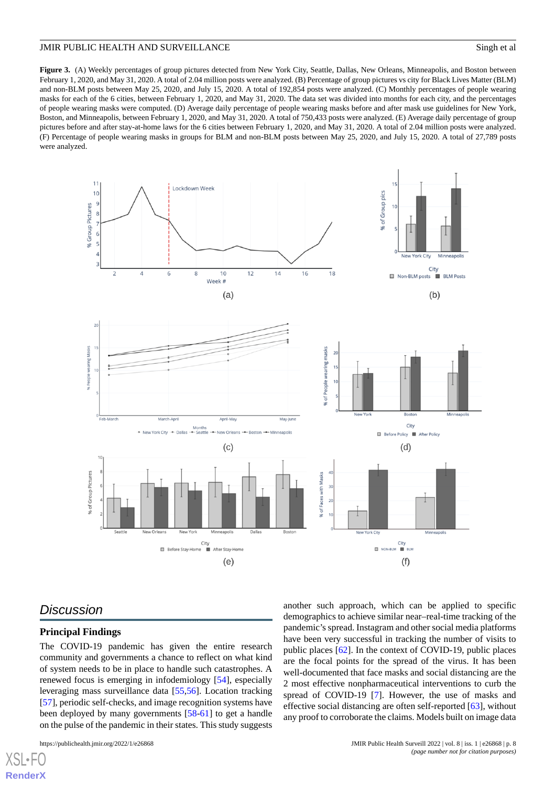<span id="page-7-0"></span>Figure 3. (A) Weekly percentages of group pictures detected from New York City, Seattle, Dallas, New Orleans, Minneapolis, and Boston between February 1, 2020, and May 31, 2020. A total of 2.04 million posts were analyzed. (B) Percentage of group pictures vs city for Black Lives Matter (BLM) and non-BLM posts between May 25, 2020, and July 15, 2020. A total of 192,854 posts were analyzed. (C) Monthly percentages of people wearing masks for each of the 6 cities, between February 1, 2020, and May 31, 2020. The data set was divided into months for each city, and the percentages of people wearing masks were computed. (D) Average daily percentage of people wearing masks before and after mask use guidelines for New York, Boston, and Minneapolis, between February 1, 2020, and May 31, 2020. A total of 750,433 posts were analyzed. (E) Average daily percentage of group pictures before and after stay-at-home laws for the 6 cities between February 1, 2020, and May 31, 2020. A total of 2.04 million posts were analyzed. (F) Percentage of people wearing masks in groups for BLM and non-BLM posts between May 25, 2020, and July 15, 2020. A total of 27,789 posts were analyzed.



# *Discussion*

 $X$ SL•F **[RenderX](http://www.renderx.com/)**

## **Principal Findings**

The COVID-19 pandemic has given the entire research community and governments a chance to reflect on what kind of system needs to be in place to handle such catastrophes. A renewed focus is emerging in infodemiology [\[54](#page-13-0)], especially leveraging mass surveillance data [[55,](#page-13-1)[56\]](#page-13-2). Location tracking [[57\]](#page-13-3), periodic self-checks, and image recognition systems have been deployed by many governments [[58](#page-13-4)[-61](#page-13-5)] to get a handle on the pulse of the pandemic in their states. This study suggests

another such approach, which can be applied to specific demographics to achieve similar near–real-time tracking of the pandemic's spread. Instagram and other social media platforms have been very successful in tracking the number of visits to public places [\[62](#page-13-6)]. In the context of COVID-19, public places are the focal points for the spread of the virus. It has been well-documented that face masks and social distancing are the 2 most effective nonpharmaceutical interventions to curb the spread of COVID-19 [[7\]](#page-11-6). However, the use of masks and effective social distancing are often self-reported [[63\]](#page-13-7), without any proof to corroborate the claims. Models built on image data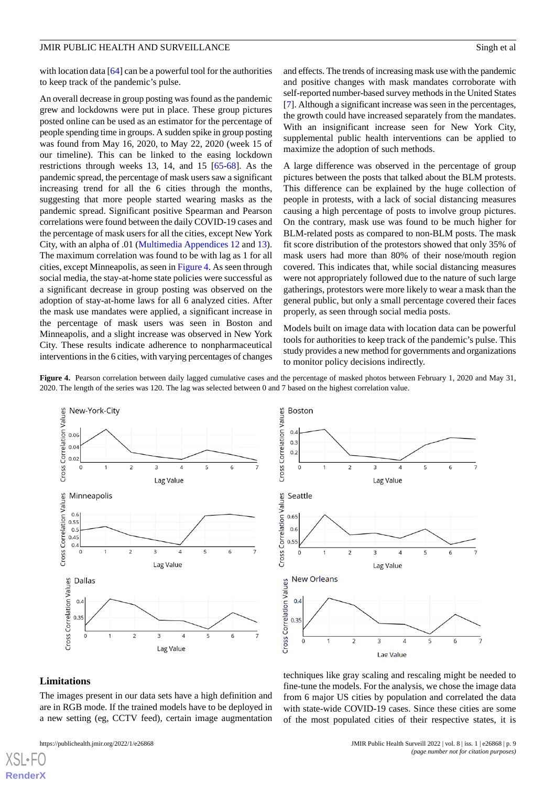with location data [\[64](#page-13-8)] can be a powerful tool for the authorities to keep track of the pandemic's pulse.

An overall decrease in group posting was found as the pandemic grew and lockdowns were put in place. These group pictures posted online can be used as an estimator for the percentage of people spending time in groups. A sudden spike in group posting was found from May 16, 2020, to May 22, 2020 (week 15 of our timeline). This can be linked to the easing lockdown restrictions through weeks 13, 14, and 15 [[65-](#page-13-9)[68\]](#page-13-10). As the pandemic spread, the percentage of mask users saw a significant increasing trend for all the 6 cities through the months, suggesting that more people started wearing masks as the pandemic spread. Significant positive Spearman and Pearson correlations were found between the daily COVID-19 cases and the percentage of mask users for all the cities, except New York City, with an alpha of .01 [\(Multimedia Appendices 12](#page-10-12) and [13\)](#page-10-13). The maximum correlation was found to be with lag as 1 for all cities, except Minneapolis, as seen in [Figure 4](#page-8-0). As seen through social media, the stay-at-home state policies were successful as a significant decrease in group posting was observed on the adoption of stay-at-home laws for all 6 analyzed cities. After the mask use mandates were applied, a significant increase in the percentage of mask users was seen in Boston and Minneapolis, and a slight increase was observed in New York City. These results indicate adherence to nonpharmaceutical interventions in the 6 cities, with varying percentages of changes

and effects. The trends of increasing mask use with the pandemic and positive changes with mask mandates corroborate with self-reported number-based survey methods in the United States [[7\]](#page-11-6). Although a significant increase was seen in the percentages, the growth could have increased separately from the mandates. With an insignificant increase seen for New York City, supplemental public health interventions can be applied to maximize the adoption of such methods.

A large difference was observed in the percentage of group pictures between the posts that talked about the BLM protests. This difference can be explained by the huge collection of people in protests, with a lack of social distancing measures causing a high percentage of posts to involve group pictures. On the contrary, mask use was found to be much higher for BLM-related posts as compared to non-BLM posts. The mask fit score distribution of the protestors showed that only 35% of mask users had more than 80% of their nose/mouth region covered. This indicates that, while social distancing measures were not appropriately followed due to the nature of such large gatherings, protestors were more likely to wear a mask than the general public, but only a small percentage covered their faces properly, as seen through social media posts.

Models built on image data with location data can be powerful tools for authorities to keep track of the pandemic's pulse. This study provides a new method for governments and organizations to monitor policy decisions indirectly.

<span id="page-8-0"></span>**Figure 4.** Pearson correlation between daily lagged cumulative cases and the percentage of masked photos between February 1, 2020 and May 31, 2020. The length of the series was 120. The lag was selected between 0 and 7 based on the highest correlation value.





#### **Limitations**

[XSL](http://www.w3.org/Style/XSL)•FO **[RenderX](http://www.renderx.com/)**

The images present in our data sets have a high definition and are in RGB mode. If the trained models have to be deployed in a new setting (eg, CCTV feed), certain image augmentation

techniques like gray scaling and rescaling might be needed to fine-tune the models. For the analysis, we chose the image data from 6 major US cities by population and correlated the data with state-wide COVID-19 cases. Since these cities are some of the most populated cities of their respective states, it is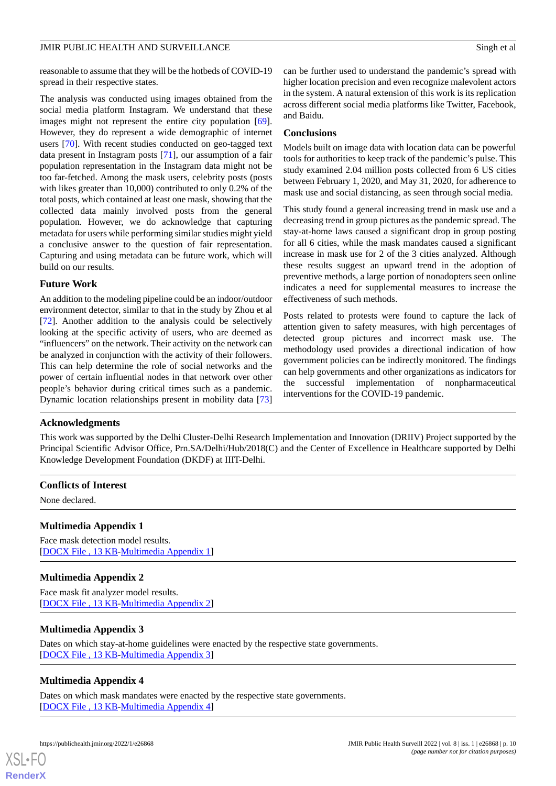reasonable to assume that they will be the hotbeds of COVID-19 spread in their respective states.

The analysis was conducted using images obtained from the social media platform Instagram. We understand that these images might not represent the entire city population [[69\]](#page-13-11). However, they do represent a wide demographic of internet users [[70\]](#page-13-12). With recent studies conducted on geo-tagged text data present in Instagram posts [\[71](#page-13-13)], our assumption of a fair population representation in the Instagram data might not be too far-fetched. Among the mask users, celebrity posts (posts with likes greater than 10,000) contributed to only 0.2% of the total posts, which contained at least one mask, showing that the collected data mainly involved posts from the general population. However, we do acknowledge that capturing metadata for users while performing similar studies might yield a conclusive answer to the question of fair representation. Capturing and using metadata can be future work, which will build on our results.

## **Future Work**

An addition to the modeling pipeline could be an indoor/outdoor environment detector, similar to that in the study by Zhou et al [[72\]](#page-13-14). Another addition to the analysis could be selectively looking at the specific activity of users, who are deemed as "influencers" on the network. Their activity on the network can be analyzed in conjunction with the activity of their followers. This can help determine the role of social networks and the power of certain influential nodes in that network over other people's behavior during critical times such as a pandemic. Dynamic location relationships present in mobility data [\[73](#page-13-15)]

can be further used to understand the pandemic's spread with higher location precision and even recognize malevolent actors in the system. A natural extension of this work is its replication across different social media platforms like Twitter, Facebook, and Baidu.

#### **Conclusions**

Models built on image data with location data can be powerful tools for authorities to keep track of the pandemic's pulse. This study examined 2.04 million posts collected from 6 US cities between February 1, 2020, and May 31, 2020, for adherence to mask use and social distancing, as seen through social media.

This study found a general increasing trend in mask use and a decreasing trend in group pictures as the pandemic spread. The stay-at-home laws caused a significant drop in group posting for all 6 cities, while the mask mandates caused a significant increase in mask use for 2 of the 3 cities analyzed. Although these results suggest an upward trend in the adoption of preventive methods, a large portion of nonadopters seen online indicates a need for supplemental measures to increase the effectiveness of such methods.

Posts related to protests were found to capture the lack of attention given to safety measures, with high percentages of detected group pictures and incorrect mask use. The methodology used provides a directional indication of how government policies can be indirectly monitored. The findings can help governments and other organizations as indicators for the successful implementation of nonpharmaceutical interventions for the COVID-19 pandemic.

#### **Acknowledgments**

This work was supported by the Delhi Cluster-Delhi Research Implementation and Innovation (DRIIV) Project supported by the Principal Scientific Advisor Office, Prn.SA/Delhi/Hub/2018(C) and the Center of Excellence in Healthcare supported by Delhi Knowledge Development Foundation (DKDF) at IIIT-Delhi.

## <span id="page-9-0"></span>**Conflicts of Interest**

None declared.

#### <span id="page-9-1"></span>**Multimedia Appendix 1**

Face mask detection model results. [[DOCX File , 13 KB](https://jmir.org/api/download?alt_name=publichealth_v8i1e26868_app1.docx&filename=718372f917dd75b9662437e2c1c47eb3.docx)-[Multimedia Appendix 1\]](https://jmir.org/api/download?alt_name=publichealth_v8i1e26868_app1.docx&filename=718372f917dd75b9662437e2c1c47eb3.docx)

#### <span id="page-9-2"></span>**Multimedia Appendix 2**

Face mask fit analyzer model results. [[DOCX File , 13 KB](https://jmir.org/api/download?alt_name=publichealth_v8i1e26868_app2.docx&filename=2acf87af9be233dd02b938b327886a48.docx)-[Multimedia Appendix 2\]](https://jmir.org/api/download?alt_name=publichealth_v8i1e26868_app2.docx&filename=2acf87af9be233dd02b938b327886a48.docx)

#### <span id="page-9-3"></span>**Multimedia Appendix 3**

Dates on which stay-at-home guidelines were enacted by the respective state governments. [[DOCX File , 13 KB](https://jmir.org/api/download?alt_name=publichealth_v8i1e26868_app3.docx&filename=a0da88cf9a7be683ee593416750596b9.docx)-[Multimedia Appendix 3\]](https://jmir.org/api/download?alt_name=publichealth_v8i1e26868_app3.docx&filename=a0da88cf9a7be683ee593416750596b9.docx)

#### **Multimedia Appendix 4**

Dates on which mask mandates were enacted by the respective state governments. [[DOCX File , 13 KB](https://jmir.org/api/download?alt_name=publichealth_v8i1e26868_app4.docx&filename=7a5696f7b204e9826c078c4b8608dac4.docx)-[Multimedia Appendix 4\]](https://jmir.org/api/download?alt_name=publichealth_v8i1e26868_app4.docx&filename=7a5696f7b204e9826c078c4b8608dac4.docx)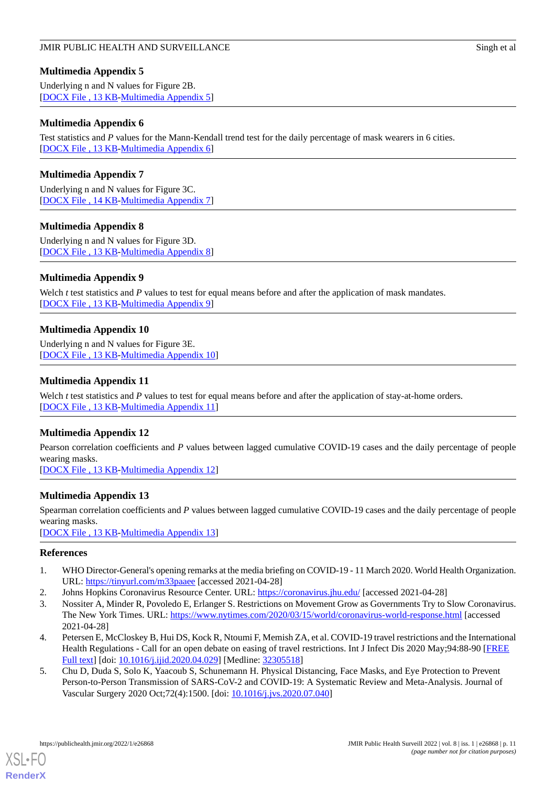# <span id="page-10-5"></span>**Multimedia Appendix 5**

Underlying n and N values for Figure 2B. [[DOCX File , 13 KB](https://jmir.org/api/download?alt_name=publichealth_v8i1e26868_app5.docx&filename=1144abf3e7e974bd057039402dddfa3e.docx)-[Multimedia Appendix 5\]](https://jmir.org/api/download?alt_name=publichealth_v8i1e26868_app5.docx&filename=1144abf3e7e974bd057039402dddfa3e.docx)

# <span id="page-10-6"></span>**Multimedia Appendix 6**

Test statistics and *P* values for the Mann-Kendall trend test for the daily percentage of mask wearers in 6 cities. [[DOCX File , 13 KB](https://jmir.org/api/download?alt_name=publichealth_v8i1e26868_app6.docx&filename=221183f0e6550316c698edb0f9fb08de.docx)-[Multimedia Appendix 6\]](https://jmir.org/api/download?alt_name=publichealth_v8i1e26868_app6.docx&filename=221183f0e6550316c698edb0f9fb08de.docx)

# <span id="page-10-7"></span>**Multimedia Appendix 7**

<span id="page-10-8"></span>Underlying n and N values for Figure 3C. [[DOCX File , 14 KB](https://jmir.org/api/download?alt_name=publichealth_v8i1e26868_app7.docx&filename=a7957ba85f5105cb23baa22f21f918f3.docx)-[Multimedia Appendix 7\]](https://jmir.org/api/download?alt_name=publichealth_v8i1e26868_app7.docx&filename=a7957ba85f5105cb23baa22f21f918f3.docx)

# **Multimedia Appendix 8**

<span id="page-10-9"></span>Underlying n and N values for Figure 3D. [[DOCX File , 13 KB](https://jmir.org/api/download?alt_name=publichealth_v8i1e26868_app8.docx&filename=72cce3b2dcb51590e6ca7bf08fa854bb.docx)-[Multimedia Appendix 8\]](https://jmir.org/api/download?alt_name=publichealth_v8i1e26868_app8.docx&filename=72cce3b2dcb51590e6ca7bf08fa854bb.docx)

# **Multimedia Appendix 9**

<span id="page-10-10"></span>Welch *t* test statistics and *P* values to test for equal means before and after the application of mask mandates. [[DOCX File , 13 KB](https://jmir.org/api/download?alt_name=publichealth_v8i1e26868_app9.docx&filename=d573b02a5ce5fa927b5b54be0f141823.docx)-[Multimedia Appendix 9\]](https://jmir.org/api/download?alt_name=publichealth_v8i1e26868_app9.docx&filename=d573b02a5ce5fa927b5b54be0f141823.docx)

# **Multimedia Appendix 10**

<span id="page-10-11"></span>Underlying n and N values for Figure 3E. [[DOCX File , 13 KB](https://jmir.org/api/download?alt_name=publichealth_v8i1e26868_app10.docx&filename=8acbfa94d8cf7b5c68cc177500902140.docx)-[Multimedia Appendix 10\]](https://jmir.org/api/download?alt_name=publichealth_v8i1e26868_app10.docx&filename=8acbfa94d8cf7b5c68cc177500902140.docx)

# **Multimedia Appendix 11**

<span id="page-10-12"></span>Welch *t* test statistics and *P* values to test for equal means before and after the application of stay-at-home orders. [[DOCX File , 13 KB](https://jmir.org/api/download?alt_name=publichealth_v8i1e26868_app11.docx&filename=11935aba17441fe4d911b2691f71e855.docx)-[Multimedia Appendix 11\]](https://jmir.org/api/download?alt_name=publichealth_v8i1e26868_app11.docx&filename=11935aba17441fe4d911b2691f71e855.docx)

# **Multimedia Appendix 12**

<span id="page-10-13"></span>Pearson correlation coefficients and *P* values between lagged cumulative COVID-19 cases and the daily percentage of people wearing masks.

[[DOCX File , 13 KB](https://jmir.org/api/download?alt_name=publichealth_v8i1e26868_app12.docx&filename=b7601ab75f36d14d82afb2e3a42bb848.docx)-[Multimedia Appendix 12\]](https://jmir.org/api/download?alt_name=publichealth_v8i1e26868_app12.docx&filename=b7601ab75f36d14d82afb2e3a42bb848.docx)

# **Multimedia Appendix 13**

<span id="page-10-0"></span>Spearman correlation coefficients and *P* values between lagged cumulative COVID-19 cases and the daily percentage of people wearing masks.

<span id="page-10-1"></span>[[DOCX File , 13 KB](https://jmir.org/api/download?alt_name=publichealth_v8i1e26868_app13.docx&filename=481f53bfb74e935a94505ed492253b92.docx)-[Multimedia Appendix 13\]](https://jmir.org/api/download?alt_name=publichealth_v8i1e26868_app13.docx&filename=481f53bfb74e935a94505ed492253b92.docx)

## <span id="page-10-2"></span>**References**

- <span id="page-10-3"></span>1. WHO Director-General's opening remarks at the media briefing on COVID-19 - 11 March 2020. World Health Organization. URL: [https://tinyurl.com/m33paaee](https://www.who.int/director-general/speeches/detail/who-director-general-s-opening-remarks-at-the-media-briefing-on-covid-19---11-march-2020) [accessed 2021-04-28]
- 2. Johns Hopkins Coronavirus Resource Center. URL:<https://coronavirus.jhu.edu/> [accessed 2021-04-28]
- <span id="page-10-4"></span>3. Nossiter A, Minder R, Povoledo E, Erlanger S. Restrictions on Movement Grow as Governments Try to Slow Coronavirus. The New York Times. URL: <https://www.nytimes.com/2020/03/15/world/coronavirus-world-response.html> [accessed 2021-04-28]
- 4. Petersen E, McCloskey B, Hui DS, Kock R, Ntoumi F, Memish ZA, et al. COVID-19 travel restrictions and the International Health Regulations - Call for an open debate on easing of travel restrictions. Int J Infect Dis 2020 May;94:88-90 [[FREE](https://linkinghub.elsevier.com/retrieve/pii/S1201-9712(20)30245-9) [Full text\]](https://linkinghub.elsevier.com/retrieve/pii/S1201-9712(20)30245-9) [doi: [10.1016/j.ijid.2020.04.029\]](http://dx.doi.org/10.1016/j.ijid.2020.04.029) [Medline: [32305518](http://www.ncbi.nlm.nih.gov/entrez/query.fcgi?cmd=Retrieve&db=PubMed&list_uids=32305518&dopt=Abstract)]
- 5. Chu D, Duda S, Solo K, Yaacoub S, Schunemann H. Physical Distancing, Face Masks, and Eye Protection to Prevent Person-to-Person Transmission of SARS-CoV-2 and COVID-19: A Systematic Review and Meta-Analysis. Journal of Vascular Surgery 2020 Oct;72(4):1500. [doi: [10.1016/j.jvs.2020.07.040\]](http://dx.doi.org/10.1016/j.jvs.2020.07.040)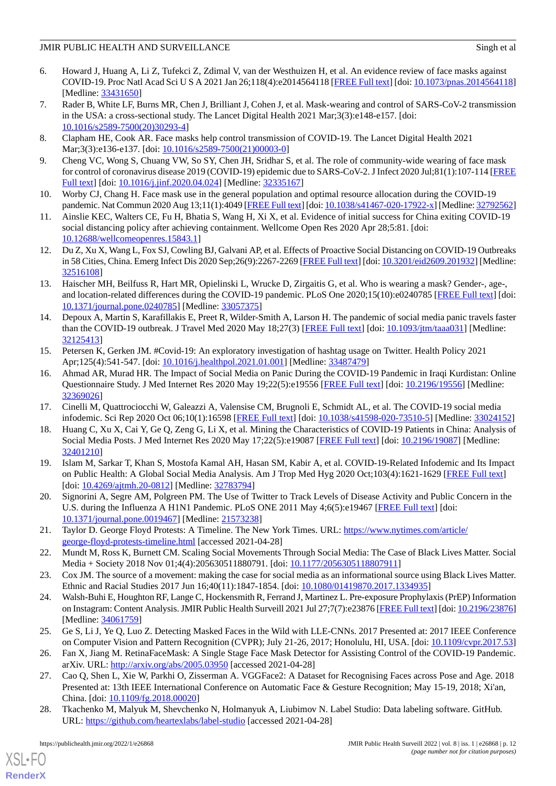- 6. Howard J, Huang A, Li Z, Tufekci Z, Zdimal V, van der Westhuizen H, et al. An evidence review of face masks against COVID-19. Proc Natl Acad Sci U S A 2021 Jan 26;118(4):e2014564118 [[FREE Full text](http://www.pnas.org/cgi/pmidlookup?view=long&pmid=33431650)] [doi: [10.1073/pnas.2014564118](http://dx.doi.org/10.1073/pnas.2014564118)] [Medline: [33431650](http://www.ncbi.nlm.nih.gov/entrez/query.fcgi?cmd=Retrieve&db=PubMed&list_uids=33431650&dopt=Abstract)]
- <span id="page-11-6"></span>7. Rader B, White LF, Burns MR, Chen J, Brilliant J, Cohen J, et al. Mask-wearing and control of SARS-CoV-2 transmission in the USA: a cross-sectional study. The Lancet Digital Health 2021 Mar;3(3):e148-e157. [doi: [10.1016/s2589-7500\(20\)30293-4](http://dx.doi.org/10.1016/s2589-7500(20)30293-4)]
- <span id="page-11-1"></span><span id="page-11-0"></span>8. Clapham HE, Cook AR. Face masks help control transmission of COVID-19. The Lancet Digital Health 2021 Mar;3(3):e136-e137. [doi: [10.1016/s2589-7500\(21\)00003-0](http://dx.doi.org/10.1016/s2589-7500(21)00003-0)]
- <span id="page-11-2"></span>9. Cheng VC, Wong S, Chuang VW, So SY, Chen JH, Sridhar S, et al. The role of community-wide wearing of face mask for control of coronavirus disease 2019 (COVID-19) epidemic due to SARS-CoV-2. J Infect 2020 Jul;81(1):107-114 [\[FREE](http://europepmc.org/abstract/MED/32335167) [Full text\]](http://europepmc.org/abstract/MED/32335167) [doi: [10.1016/j.jinf.2020.04.024](http://dx.doi.org/10.1016/j.jinf.2020.04.024)] [Medline: [32335167\]](http://www.ncbi.nlm.nih.gov/entrez/query.fcgi?cmd=Retrieve&db=PubMed&list_uids=32335167&dopt=Abstract)
- <span id="page-11-3"></span>10. Worby CJ, Chang H. Face mask use in the general population and optimal resource allocation during the COVID-19 pandemic. Nat Commun 2020 Aug 13;11(1):4049 [[FREE Full text\]](https://doi.org/10.1038/s41467-020-17922-x) [doi: [10.1038/s41467-020-17922-x\]](http://dx.doi.org/10.1038/s41467-020-17922-x) [Medline: [32792562\]](http://www.ncbi.nlm.nih.gov/entrez/query.fcgi?cmd=Retrieve&db=PubMed&list_uids=32792562&dopt=Abstract)
- <span id="page-11-4"></span>11. Ainslie KEC, Walters CE, Fu H, Bhatia S, Wang H, Xi X, et al. Evidence of initial success for China exiting COVID-19 social distancing policy after achieving containment. Wellcome Open Res 2020 Apr 28;5:81. [doi: [10.12688/wellcomeopenres.15843.1\]](http://dx.doi.org/10.12688/wellcomeopenres.15843.1)
- <span id="page-11-5"></span>12. Du Z, Xu X, Wang L, Fox SJ, Cowling BJ, Galvani AP, et al. Effects of Proactive Social Distancing on COVID-19 Outbreaks in 58 Cities, China. Emerg Infect Dis 2020 Sep;26(9):2267-2269 [\[FREE Full text](https://doi.org/10.3201/eid2609.201932)] [doi: [10.3201/eid2609.201932](http://dx.doi.org/10.3201/eid2609.201932)] [Medline: [32516108](http://www.ncbi.nlm.nih.gov/entrez/query.fcgi?cmd=Retrieve&db=PubMed&list_uids=32516108&dopt=Abstract)]
- <span id="page-11-7"></span>13. Haischer MH, Beilfuss R, Hart MR, Opielinski L, Wrucke D, Zirgaitis G, et al. Who is wearing a mask? Gender-, age-, and location-related differences during the COVID-19 pandemic. PLoS One 2020;15(10):e0240785 [\[FREE Full text](https://dx.plos.org/10.1371/journal.pone.0240785)] [doi: [10.1371/journal.pone.0240785\]](http://dx.doi.org/10.1371/journal.pone.0240785) [Medline: [33057375](http://www.ncbi.nlm.nih.gov/entrez/query.fcgi?cmd=Retrieve&db=PubMed&list_uids=33057375&dopt=Abstract)]
- <span id="page-11-8"></span>14. Depoux A, Martin S, Karafillakis E, Preet R, Wilder-Smith A, Larson H. The pandemic of social media panic travels faster than the COVID-19 outbreak. J Travel Med 2020 May 18;27(3) [[FREE Full text](http://europepmc.org/abstract/MED/32125413)] [doi: [10.1093/jtm/taaa031\]](http://dx.doi.org/10.1093/jtm/taaa031) [Medline: [32125413](http://www.ncbi.nlm.nih.gov/entrez/query.fcgi?cmd=Retrieve&db=PubMed&list_uids=32125413&dopt=Abstract)]
- <span id="page-11-9"></span>15. Petersen K, Gerken JM. #Covid-19: An exploratory investigation of hashtag usage on Twitter. Health Policy 2021 Apr;125(4):541-547. [doi: [10.1016/j.healthpol.2021.01.001](http://dx.doi.org/10.1016/j.healthpol.2021.01.001)] [Medline: [33487479](http://www.ncbi.nlm.nih.gov/entrez/query.fcgi?cmd=Retrieve&db=PubMed&list_uids=33487479&dopt=Abstract)]
- 16. Ahmad AR, Murad HR. The Impact of Social Media on Panic During the COVID-19 Pandemic in Iraqi Kurdistan: Online Questionnaire Study. J Med Internet Res 2020 May 19;22(5):e19556 [[FREE Full text](https://www.jmir.org/2020/5/e19556/)] [doi: [10.2196/19556\]](http://dx.doi.org/10.2196/19556) [Medline: [32369026](http://www.ncbi.nlm.nih.gov/entrez/query.fcgi?cmd=Retrieve&db=PubMed&list_uids=32369026&dopt=Abstract)]
- <span id="page-11-10"></span>17. Cinelli M, Quattrociocchi W, Galeazzi A, Valensise CM, Brugnoli E, Schmidt AL, et al. The COVID-19 social media infodemic. Sci Rep 2020 Oct 06;10(1):16598 [\[FREE Full text\]](https://doi.org/10.1038/s41598-020-73510-5) [doi: [10.1038/s41598-020-73510-5](http://dx.doi.org/10.1038/s41598-020-73510-5)] [Medline: [33024152](http://www.ncbi.nlm.nih.gov/entrez/query.fcgi?cmd=Retrieve&db=PubMed&list_uids=33024152&dopt=Abstract)]
- 18. Huang C, Xu X, Cai Y, Ge Q, Zeng G, Li X, et al. Mining the Characteristics of COVID-19 Patients in China: Analysis of Social Media Posts. J Med Internet Res 2020 May 17;22(5):e19087 [\[FREE Full text\]](https://www.jmir.org/2020/5/e19087/) [doi: [10.2196/19087](http://dx.doi.org/10.2196/19087)] [Medline: [32401210](http://www.ncbi.nlm.nih.gov/entrez/query.fcgi?cmd=Retrieve&db=PubMed&list_uids=32401210&dopt=Abstract)]
- <span id="page-11-12"></span><span id="page-11-11"></span>19. Islam M, Sarkar T, Khan S, Mostofa Kamal AH, Hasan SM, Kabir A, et al. COVID-19-Related Infodemic and Its Impact on Public Health: A Global Social Media Analysis. Am J Trop Med Hyg 2020 Oct;103(4):1621-1629 [\[FREE Full text\]](http://europepmc.org/abstract/MED/32783794) [doi: [10.4269/ajtmh.20-0812\]](http://dx.doi.org/10.4269/ajtmh.20-0812) [Medline: [32783794\]](http://www.ncbi.nlm.nih.gov/entrez/query.fcgi?cmd=Retrieve&db=PubMed&list_uids=32783794&dopt=Abstract)
- <span id="page-11-13"></span>20. Signorini A, Segre AM, Polgreen PM. The Use of Twitter to Track Levels of Disease Activity and Public Concern in the U.S. during the Influenza A H1N1 Pandemic. PLoS ONE 2011 May 4;6(5):e19467 [[FREE Full text](https://dx.plos.org/10.1371/journal.pone.0019467)] [doi: [10.1371/journal.pone.0019467\]](http://dx.doi.org/10.1371/journal.pone.0019467) [Medline: [21573238](http://www.ncbi.nlm.nih.gov/entrez/query.fcgi?cmd=Retrieve&db=PubMed&list_uids=21573238&dopt=Abstract)]
- <span id="page-11-15"></span><span id="page-11-14"></span>21. Taylor D. George Floyd Protests: A Timeline. The New York Times. URL: [https://www.nytimes.com/article/](https://www.nytimes.com/article/george-floyd-protests-timeline.html) [george-floyd-protests-timeline.html](https://www.nytimes.com/article/george-floyd-protests-timeline.html) [accessed 2021-04-28]
- 22. Mundt M, Ross K, Burnett CM. Scaling Social Movements Through Social Media: The Case of Black Lives Matter. Social Media + Society 2018 Nov 01;4(4):205630511880791. [doi: [10.1177/2056305118807911](http://dx.doi.org/10.1177/2056305118807911)]
- <span id="page-11-16"></span>23. Cox JM. The source of a movement: making the case for social media as an informational source using Black Lives Matter. Ethnic and Racial Studies 2017 Jun 16;40(11):1847-1854. [doi: [10.1080/01419870.2017.1334935](http://dx.doi.org/10.1080/01419870.2017.1334935)]
- <span id="page-11-18"></span><span id="page-11-17"></span>24. Walsh-Buhi E, Houghton RF, Lange C, Hockensmith R, Ferrand J, Martinez L. Pre-exposure Prophylaxis (PrEP) Information on Instagram: Content Analysis. JMIR Public Health Surveill 2021 Jul 27;7(7):e23876 [\[FREE Full text\]](https://publichealth.jmir.org/2021/7/e23876/) [doi: [10.2196/23876\]](http://dx.doi.org/10.2196/23876) [Medline: [34061759](http://www.ncbi.nlm.nih.gov/entrez/query.fcgi?cmd=Retrieve&db=PubMed&list_uids=34061759&dopt=Abstract)]
- <span id="page-11-19"></span>25. Ge S, Li J, Ye Q, Luo Z. Detecting Masked Faces in the Wild with LLE-CNNs. 2017 Presented at: 2017 IEEE Conference on Computer Vision and Pattern Recognition (CVPR); July 21-26, 2017; Honolulu, HI, USA. [doi: [10.1109/cvpr.2017.53](http://dx.doi.org/10.1109/cvpr.2017.53)]
- 26. Fan X, Jiang M. RetinaFaceMask: A Single Stage Face Mask Detector for Assisting Control of the COVID-19 Pandemic. arXiv. URL: <http://arxiv.org/abs/2005.03950> [accessed 2021-04-28]
- 27. Cao Q, Shen L, Xie W, Parkhi O, Zisserman A. VGGFace2: A Dataset for Recognising Faces across Pose and Age. 2018 Presented at: 13th IEEE International Conference on Automatic Face & Gesture Recognition; May 15-19, 2018; Xi'an, China. [doi: [10.1109/fg.2018.00020](http://dx.doi.org/10.1109/fg.2018.00020)]
- 28. Tkachenko M, Malyuk M, Shevchenko N, Holmanyuk A, Liubimov N. Label Studio: Data labeling software. GitHub. URL: <https://github.com/heartexlabs/label-studio> [accessed 2021-04-28]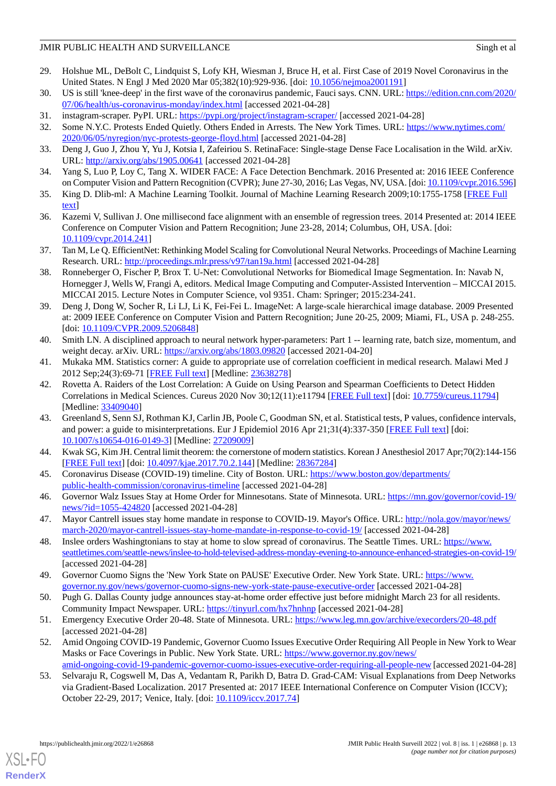- <span id="page-12-0"></span>29. Holshue ML, DeBolt C, Lindquist S, Lofy KH, Wiesman J, Bruce H, et al. First Case of 2019 Novel Coronavirus in the United States. N Engl J Med 2020 Mar 05;382(10):929-936. [doi: [10.1056/nejmoa2001191\]](http://dx.doi.org/10.1056/nejmoa2001191)
- <span id="page-12-2"></span><span id="page-12-1"></span>30. US is still 'knee-deep' in the first wave of the coronavirus pandemic, Fauci says. CNN. URL: [https://edition.cnn.com/2020/](https://edition.cnn.com/2020/07/06/health/us-coronavirus-monday/index.html) [07/06/health/us-coronavirus-monday/index.html](https://edition.cnn.com/2020/07/06/health/us-coronavirus-monday/index.html) [accessed 2021-04-28]
- <span id="page-12-3"></span>31. instagram-scraper. PyPI. URL:<https://pypi.org/project/instagram-scraper/> [accessed 2021-04-28]
- <span id="page-12-4"></span>32. Some N.Y.C. Protests Ended Quietly. Others Ended in Arrests. The New York Times. URL: [https://www.nytimes.com/](https://www.nytimes.com/2020/06/05/nyregion/nyc-protests-george-floyd.html) [2020/06/05/nyregion/nyc-protests-george-floyd.html](https://www.nytimes.com/2020/06/05/nyregion/nyc-protests-george-floyd.html) [accessed 2021-04-28]
- <span id="page-12-5"></span>33. Deng J, Guo J, Zhou Y, Yu J, Kotsia I, Zafeiriou S. RetinaFace: Single-stage Dense Face Localisation in the Wild. arXiv. URL: <http://arxiv.org/abs/1905.00641> [accessed 2021-04-28]
- <span id="page-12-6"></span>34. Yang S, Luo P, Loy C, Tang X. WIDER FACE: A Face Detection Benchmark. 2016 Presented at: 2016 IEEE Conference on Computer Vision and Pattern Recognition (CVPR); June 27-30, 2016; Las Vegas, NV, USA. [doi: [10.1109/cvpr.2016.596\]](http://dx.doi.org/10.1109/cvpr.2016.596)
- <span id="page-12-7"></span>35. King D. Dlib-ml: A Machine Learning Toolkit. Journal of Machine Learning Research 2009;10:1755-1758 [\[FREE Full](https://www.jmlr.org/papers/volume10/king09a/king09a.pdf) [text](https://www.jmlr.org/papers/volume10/king09a/king09a.pdf)]
- <span id="page-12-8"></span>36. Kazemi V, Sullivan J. One millisecond face alignment with an ensemble of regression trees. 2014 Presented at: 2014 IEEE Conference on Computer Vision and Pattern Recognition; June 23-28, 2014; Columbus, OH, USA. [doi: [10.1109/cvpr.2014.241](http://dx.doi.org/10.1109/cvpr.2014.241)]
- <span id="page-12-9"></span>37. Tan M, Le Q. EfficientNet: Rethinking Model Scaling for Convolutional Neural Networks. Proceedings of Machine Learning Research. URL:<http://proceedings.mlr.press/v97/tan19a.html> [accessed 2021-04-28]
- <span id="page-12-10"></span>38. Ronneberger O, Fischer P, Brox T. U-Net: Convolutional Networks for Biomedical Image Segmentation. In: Navab N, Hornegger J, Wells W, Frangi A, editors. Medical Image Computing and Computer-Assisted Intervention – MICCAI 2015. MICCAI 2015. Lecture Notes in Computer Science, vol 9351. Cham: Springer; 2015:234-241.
- <span id="page-12-11"></span>39. Deng J, Dong W, Socher R, Li LJ, Li K, Fei-Fei L. ImageNet: A large-scale hierarchical image database. 2009 Presented at: 2009 IEEE Conference on Computer Vision and Pattern Recognition; June 20-25, 2009; Miami, FL, USA p. 248-255. [doi: [10.1109/CVPR.2009.5206848](http://dx.doi.org/10.1109/CVPR.2009.5206848)]
- <span id="page-12-13"></span><span id="page-12-12"></span>40. Smith LN. A disciplined approach to neural network hyper-parameters: Part 1 -- learning rate, batch size, momentum, and weight decay. arXiv. URL:<https://arxiv.org/abs/1803.09820> [accessed 2021-04-20]
- 41. Mukaka MM. Statistics corner: A guide to appropriate use of correlation coefficient in medical research. Malawi Med J 2012 Sep; 24(3): 69-71 [\[FREE Full text\]](http://europepmc.org/abstract/MED/23638278) [Medline: [23638278\]](http://www.ncbi.nlm.nih.gov/entrez/query.fcgi?cmd=Retrieve&db=PubMed&list_uids=23638278&dopt=Abstract)
- <span id="page-12-14"></span>42. Rovetta A. Raiders of the Lost Correlation: A Guide on Using Pearson and Spearman Coefficients to Detect Hidden Correlations in Medical Sciences. Cureus 2020 Nov 30;12(11):e11794 [\[FREE Full text\]](http://europepmc.org/abstract/MED/33409040) [doi: [10.7759/cureus.11794\]](http://dx.doi.org/10.7759/cureus.11794) [Medline: [33409040](http://www.ncbi.nlm.nih.gov/entrez/query.fcgi?cmd=Retrieve&db=PubMed&list_uids=33409040&dopt=Abstract)]
- <span id="page-12-16"></span><span id="page-12-15"></span>43. Greenland S, Senn SJ, Rothman KJ, Carlin JB, Poole C, Goodman SN, et al. Statistical tests, P values, confidence intervals, and power: a guide to misinterpretations. Eur J Epidemiol 2016 Apr 21;31(4):337-350 [\[FREE Full text\]](http://europepmc.org/abstract/MED/27209009) [doi: [10.1007/s10654-016-0149-3\]](http://dx.doi.org/10.1007/s10654-016-0149-3) [Medline: [27209009](http://www.ncbi.nlm.nih.gov/entrez/query.fcgi?cmd=Retrieve&db=PubMed&list_uids=27209009&dopt=Abstract)]
- 44. Kwak SG, Kim JH. Central limit theorem: the cornerstone of modern statistics. Korean J Anesthesiol 2017 Apr;70(2):144-156 [[FREE Full text](https://ekja.org/journal/view.php?doi=10.4097/kjae.2017.70.2.144)] [doi: [10.4097/kjae.2017.70.2.144](http://dx.doi.org/10.4097/kjae.2017.70.2.144)] [Medline: [28367284](http://www.ncbi.nlm.nih.gov/entrez/query.fcgi?cmd=Retrieve&db=PubMed&list_uids=28367284&dopt=Abstract)]
- 45. Coronavirus Disease (COVID-19) timeline. City of Boston. URL: [https://www.boston.gov/departments/](https://www.boston.gov/departments/public-health-commission/coronavirus-timeline) [public-health-commission/coronavirus-timeline](https://www.boston.gov/departments/public-health-commission/coronavirus-timeline) [accessed 2021-04-28]
- 46. Governor Walz Issues Stay at Home Order for Minnesotans. State of Minnesota. URL: [https://mn.gov/governor/covid-19/](https://mn.gov/governor/covid-19/news/?id=1055-424820) [news/?id=1055-424820](https://mn.gov/governor/covid-19/news/?id=1055-424820) [accessed 2021-04-28]
- 47. Mayor Cantrell issues stay home mandate in response to COVID-19. Mayor's Office. URL: [http://nola.gov/mayor/news/](http://nola.gov/mayor/news/march-2020/mayor-cantrell-issues-stay-home-mandate-in-response-to-covid-19/) [march-2020/mayor-cantrell-issues-stay-home-mandate-in-response-to-covid-19/](http://nola.gov/mayor/news/march-2020/mayor-cantrell-issues-stay-home-mandate-in-response-to-covid-19/) [accessed 2021-04-28]
- <span id="page-12-17"></span>48. Inslee orders Washingtonians to stay at home to slow spread of coronavirus. The Seattle Times. URL: [https://www.](https://www.seattletimes.com/seattle-news/inslee-to-hold-televised-address-monday-evening-to-announce-enhanced-strategies-on-covid-19/) [seattletimes.com/seattle-news/inslee-to-hold-televised-address-monday-evening-to-announce-enhanced-strategies-on-covid-19/](https://www.seattletimes.com/seattle-news/inslee-to-hold-televised-address-monday-evening-to-announce-enhanced-strategies-on-covid-19/) [accessed 2021-04-28]
- <span id="page-12-19"></span><span id="page-12-18"></span>49. Governor Cuomo Signs the 'New York State on PAUSE' Executive Order. New York State. URL: [https://www.](https://www.governor.ny.gov/news/governor-cuomo-signs-new-york-state-pause-executive-order) [governor.ny.gov/news/governor-cuomo-signs-new-york-state-pause-executive-order](https://www.governor.ny.gov/news/governor-cuomo-signs-new-york-state-pause-executive-order) [accessed 2021-04-28]
- <span id="page-12-20"></span>50. Pugh G. Dallas County judge announces stay-at-home order effective just before midnight March 23 for all residents. Community Impact Newspaper. URL: [https://tinyurl.com/hx7hnhnp](https://communityimpact.com/dallas-fort-worth/coppell-valley-ranch-las-colinas/coronavirus/2020/03/22/breaking-dallas-county-judge-announces-stay-at-home-order-effective-just-before-midnight-march-23-for-all-residents/) [accessed 2021-04-28]
- 51. Emergency Executive Order 20-48. State of Minnesota. URL:<https://www.leg.mn.gov/archive/execorders/20-48.pdf> [accessed 2021-04-28]
- 52. Amid Ongoing COVID-19 Pandemic, Governor Cuomo Issues Executive Order Requiring All People in New York to Wear Masks or Face Coverings in Public. New York State. URL: [https://www.governor.ny.gov/news/](https://www.governor.ny.gov/news/amid-ongoing-covid-19-pandemic-governor-cuomo-issues-executive-order-requiring-all-people-new) [amid-ongoing-covid-19-pandemic-governor-cuomo-issues-executive-order-requiring-all-people-new](https://www.governor.ny.gov/news/amid-ongoing-covid-19-pandemic-governor-cuomo-issues-executive-order-requiring-all-people-new) [accessed 2021-04-28]
- 53. Selvaraju R, Cogswell M, Das A, Vedantam R, Parikh D, Batra D. Grad-CAM: Visual Explanations from Deep Networks via Gradient-Based Localization. 2017 Presented at: 2017 IEEE International Conference on Computer Vision (ICCV); October 22-29, 2017; Venice, Italy. [doi: [10.1109/iccv.2017.74](http://dx.doi.org/10.1109/iccv.2017.74)]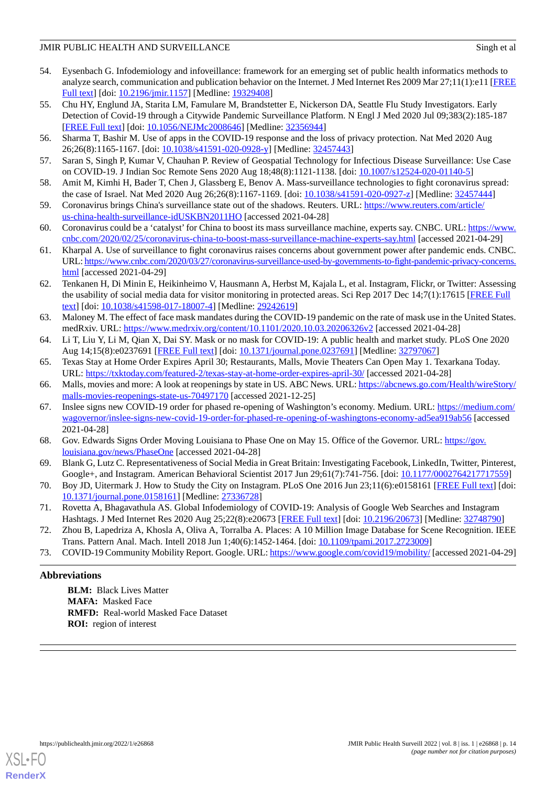- <span id="page-13-0"></span>54. Eysenbach G. Infodemiology and infoveillance: framework for an emerging set of public health informatics methods to analyze search, communication and publication behavior on the Internet. J Med Internet Res 2009 Mar  $27;11(1):e11$  [\[FREE](https://www.jmir.org/2009/1/e11/) [Full text\]](https://www.jmir.org/2009/1/e11/) [doi: [10.2196/jmir.1157](http://dx.doi.org/10.2196/jmir.1157)] [Medline: [19329408\]](http://www.ncbi.nlm.nih.gov/entrez/query.fcgi?cmd=Retrieve&db=PubMed&list_uids=19329408&dopt=Abstract)
- <span id="page-13-1"></span>55. Chu HY, Englund JA, Starita LM, Famulare M, Brandstetter E, Nickerson DA, Seattle Flu Study Investigators. Early Detection of Covid-19 through a Citywide Pandemic Surveillance Platform. N Engl J Med 2020 Jul 09;383(2):185-187 [[FREE Full text](http://europepmc.org/abstract/MED/32356944)] [doi: [10.1056/NEJMc2008646](http://dx.doi.org/10.1056/NEJMc2008646)] [Medline: [32356944](http://www.ncbi.nlm.nih.gov/entrez/query.fcgi?cmd=Retrieve&db=PubMed&list_uids=32356944&dopt=Abstract)]
- <span id="page-13-3"></span><span id="page-13-2"></span>56. Sharma T, Bashir M. Use of apps in the COVID-19 response and the loss of privacy protection. Nat Med 2020 Aug 26;26(8):1165-1167. [doi: [10.1038/s41591-020-0928-y\]](http://dx.doi.org/10.1038/s41591-020-0928-y) [Medline: [32457443](http://www.ncbi.nlm.nih.gov/entrez/query.fcgi?cmd=Retrieve&db=PubMed&list_uids=32457443&dopt=Abstract)]
- <span id="page-13-4"></span>57. Saran S, Singh P, Kumar V, Chauhan P. Review of Geospatial Technology for Infectious Disease Surveillance: Use Case on COVID-19. J Indian Soc Remote Sens 2020 Aug 18;48(8):1121-1138. [doi: [10.1007/s12524-020-01140-5\]](http://dx.doi.org/10.1007/s12524-020-01140-5)
- 58. Amit M, Kimhi H, Bader T, Chen J, Glassberg E, Benov A. Mass-surveillance technologies to fight coronavirus spread: the case of Israel. Nat Med 2020 Aug 26;26(8):1167-1169. [doi: [10.1038/s41591-020-0927-z\]](http://dx.doi.org/10.1038/s41591-020-0927-z) [Medline: [32457444](http://www.ncbi.nlm.nih.gov/entrez/query.fcgi?cmd=Retrieve&db=PubMed&list_uids=32457444&dopt=Abstract)]
- 59. Coronavirus brings China's surveillance state out of the shadows. Reuters. URL: [https://www.reuters.com/article/](https://www.reuters.com/article/us-china-health-surveillance-idUSKBN2011HO) [us-china-health-surveillance-idUSKBN2011HO](https://www.reuters.com/article/us-china-health-surveillance-idUSKBN2011HO) [accessed 2021-04-28]
- <span id="page-13-5"></span>60. Coronavirus could be a 'catalyst'for China to boost its mass surveillance machine, experts say. CNBC. URL: [https://www.](https://www.cnbc.com/2020/02/25/coronavirus-china-to-boost-mass-surveillance-machine-experts-say.html) [cnbc.com/2020/02/25/coronavirus-china-to-boost-mass-surveillance-machine-experts-say.html](https://www.cnbc.com/2020/02/25/coronavirus-china-to-boost-mass-surveillance-machine-experts-say.html) [accessed 2021-04-29]
- <span id="page-13-6"></span>61. Kharpal A. Use of surveillance to fight coronavirus raises concerns about government power after pandemic ends. CNBC. URL: [https://www.cnbc.com/2020/03/27/coronavirus-surveillance-used-by-governments-to-fight-pandemic-privacy-concerns.](https://www.cnbc.com/2020/03/27/coronavirus-surveillance-used-by-governments-to-fight-pandemic-privacy-concerns.html) [html](https://www.cnbc.com/2020/03/27/coronavirus-surveillance-used-by-governments-to-fight-pandemic-privacy-concerns.html) [accessed 2021-04-29]
- <span id="page-13-7"></span>62. Tenkanen H, Di Minin E, Heikinheimo V, Hausmann A, Herbst M, Kajala L, et al. Instagram, Flickr, or Twitter: Assessing the usability of social media data for visitor monitoring in protected areas. Sci Rep 2017 Dec 14;7(1):17615 [[FREE Full](https://doi.org/10.1038/s41598-017-18007-4) [text](https://doi.org/10.1038/s41598-017-18007-4)] [doi: [10.1038/s41598-017-18007-4\]](http://dx.doi.org/10.1038/s41598-017-18007-4) [Medline: [29242619\]](http://www.ncbi.nlm.nih.gov/entrez/query.fcgi?cmd=Retrieve&db=PubMed&list_uids=29242619&dopt=Abstract)
- <span id="page-13-9"></span><span id="page-13-8"></span>63. Maloney M. The effect of face mask mandates during the COVID-19 pandemic on the rate of mask use in the United States. medRxiv. URL: <https://www.medrxiv.org/content/10.1101/2020.10.03.20206326v2> [accessed 2021-04-28]
- 64. Li T, Liu Y, Li M, Qian X, Dai SY. Mask or no mask for COVID-19: A public health and market study. PLoS One 2020 Aug 14;15(8):e0237691 [[FREE Full text](https://dx.plos.org/10.1371/journal.pone.0237691)] [doi: [10.1371/journal.pone.0237691](http://dx.doi.org/10.1371/journal.pone.0237691)] [Medline: [32797067](http://www.ncbi.nlm.nih.gov/entrez/query.fcgi?cmd=Retrieve&db=PubMed&list_uids=32797067&dopt=Abstract)]
- 65. Texas Stay at Home Order Expires April 30; Restaurants, Malls, Movie Theaters Can Open May 1. Texarkana Today. URL: <https://txktoday.com/featured-2/texas-stay-at-home-order-expires-april-30/> [accessed 2021-04-28]
- 66. Malls, movies and more: A look at reopenings by state in US. ABC News. URL: [https://abcnews.go.com/Health/wireStory/](https://abcnews.go.com/Health/wireStory/malls-movies-reopenings-state-us-70497170) [malls-movies-reopenings-state-us-70497170](https://abcnews.go.com/Health/wireStory/malls-movies-reopenings-state-us-70497170) [accessed 2021-12-25]
- <span id="page-13-11"></span><span id="page-13-10"></span>67. Inslee signs new COVID-19 order for phased re-opening of Washington's economy. Medium. URL: [https://medium.com/](https://medium.com/wagovernor/inslee-signs-new-covid-19-order-for-phased-re-opening-of-washingtons-economy-ad5ea919ab56) [wagovernor/inslee-signs-new-covid-19-order-for-phased-re-opening-of-washingtons-economy-ad5ea919ab56](https://medium.com/wagovernor/inslee-signs-new-covid-19-order-for-phased-re-opening-of-washingtons-economy-ad5ea919ab56) [accessed 2021-04-28]
- <span id="page-13-12"></span>68. Gov. Edwards Signs Order Moving Louisiana to Phase One on May 15. Office of the Governor. URL: [https://gov.](https://gov.louisiana.gov/news/PhaseOne) [louisiana.gov/news/PhaseOne](https://gov.louisiana.gov/news/PhaseOne) [accessed 2021-04-28]
- <span id="page-13-13"></span>69. Blank G, Lutz C. Representativeness of Social Media in Great Britain: Investigating Facebook, LinkedIn, Twitter, Pinterest, Google+, and Instagram. American Behavioral Scientist 2017 Jun 29;61(7):741-756. [doi: [10.1177/0002764217717559\]](http://dx.doi.org/10.1177/0002764217717559)
- <span id="page-13-14"></span>70. Boy JD, Uitermark J. How to Study the City on Instagram. PLoS One 2016 Jun 23;11(6):e0158161 [[FREE Full text](https://dx.plos.org/10.1371/journal.pone.0158161)] [doi: [10.1371/journal.pone.0158161\]](http://dx.doi.org/10.1371/journal.pone.0158161) [Medline: [27336728](http://www.ncbi.nlm.nih.gov/entrez/query.fcgi?cmd=Retrieve&db=PubMed&list_uids=27336728&dopt=Abstract)]
- <span id="page-13-15"></span>71. Rovetta A, Bhagavathula AS. Global Infodemiology of COVID-19: Analysis of Google Web Searches and Instagram Hashtags. J Med Internet Res 2020 Aug 25;22(8):e20673 [\[FREE Full text\]](https://www.jmir.org/2020/8/e20673/) [doi: [10.2196/20673](http://dx.doi.org/10.2196/20673)] [Medline: [32748790\]](http://www.ncbi.nlm.nih.gov/entrez/query.fcgi?cmd=Retrieve&db=PubMed&list_uids=32748790&dopt=Abstract)
- 72. Zhou B, Lapedriza A, Khosla A, Oliva A, Torralba A. Places: A 10 Million Image Database for Scene Recognition. IEEE Trans. Pattern Anal. Mach. Intell 2018 Jun 1;40(6):1452-1464. [doi: [10.1109/tpami.2017.2723009](http://dx.doi.org/10.1109/tpami.2017.2723009)]
- 73. COVID-19 Community Mobility Report. Google. URL:<https://www.google.com/covid19/mobility/> [accessed 2021-04-29]

# **Abbreviations**

**BLM:** Black Lives Matter **MAFA:** Masked Face **RMFD:** Real-world Masked Face Dataset **ROI:** region of interest